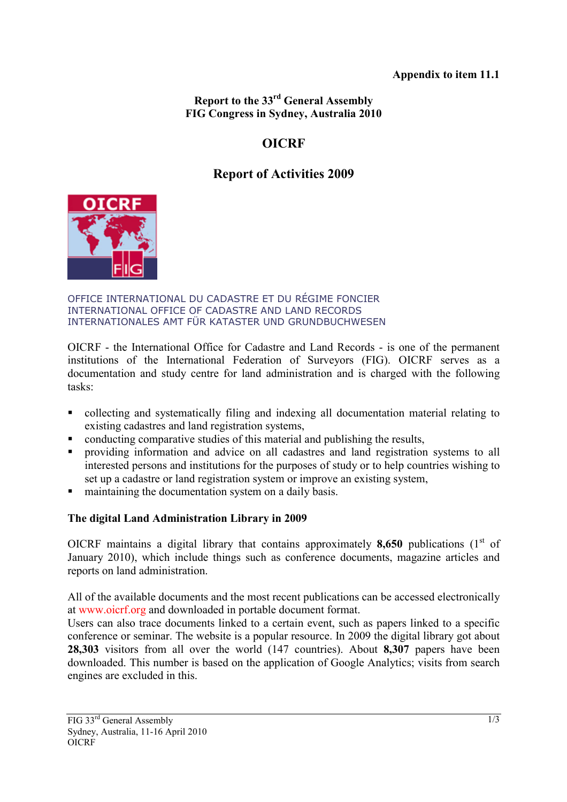### **Appendix to item 11.1**

**Report to the 33rd General Assembly FIG Congress in Sydney, Australia 2010** 

# **OICRF**

# **Report of Activities 2009**



#### OFFICE INTERNATIONAL DU CADASTRE ET DU RÉGIME FONCIER INTERNATIONAL OFFICE OF CADASTRE AND LAND RECORDS INTERNATIONALES AMT FÜR KATASTER UND GRUNDBUCHWESEN

OICRF - the International Office for Cadastre and Land Records - is one of the permanent institutions of the International Federation of Surveyors (FIG). OICRF serves as a documentation and study centre for land administration and is charged with the following tasks:

- collecting and systematically filing and indexing all documentation material relating to existing cadastres and land registration systems,
- conducting comparative studies of this material and publishing the results,
- **Peroviding information and advice on all cadastres and land registration systems to all** interested persons and institutions for the purposes of study or to help countries wishing to set up a cadastre or land registration system or improve an existing system,
- maintaining the documentation system on a daily basis.

## **The digital Land Administration Library in 2009**

OICRF maintains a digital library that contains approximately  $8,650$  publications (1<sup>st</sup> of January 2010), which include things such as conference documents, magazine articles and reports on land administration.

All of the available documents and the most recent publications can be accessed electronically at www.oicrf.org and downloaded in portable document format.

Users can also trace documents linked to a certain event, such as papers linked to a specific conference or seminar. The website is a popular resource. In 2009 the digital library got about **28,303** visitors from all over the world (147 countries). About **8,307** papers have been downloaded. This number is based on the application of Google Analytics; visits from search engines are excluded in this.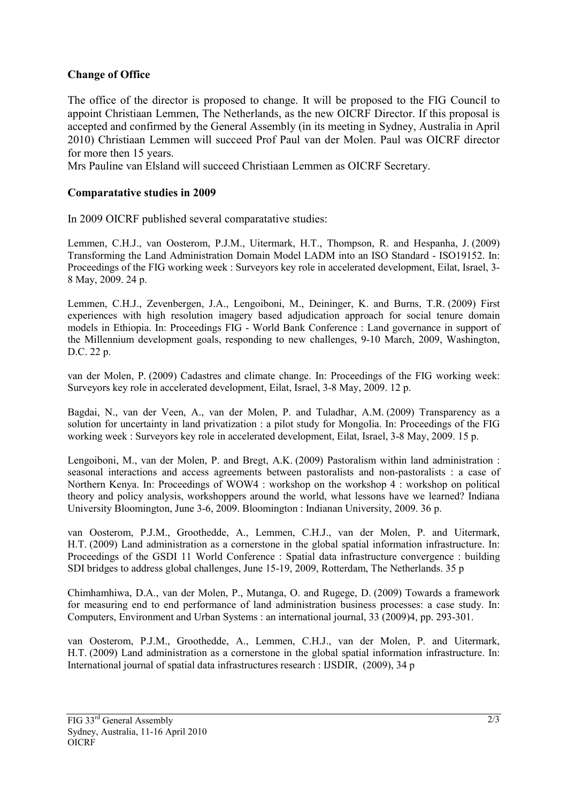### **Change of Office**

The office of the director is proposed to change. It will be proposed to the FIG Council to appoint Christiaan Lemmen, The Netherlands, as the new OICRF Director. If this proposal is accepted and confirmed by the General Assembly (in its meeting in Sydney, Australia in April 2010) Christiaan Lemmen will succeed Prof Paul van der Molen. Paul was OICRF director for more then 15 years.

Mrs Pauline van Elsland will succeed Christiaan Lemmen as OICRF Secretary.

### **Comparatative studies in 2009**

In 2009 OICRF published several comparatative studies:

Lemmen, C.H.J., van Oosterom, P.J.M., Uitermark, H.T., Thompson, R. and Hespanha, J. (2009) Transforming the Land Administration Domain Model LADM into an ISO Standard - ISO19152. In: Proceedings of the FIG working week : Surveyors key role in accelerated development, Eilat, Israel, 3- 8 May, 2009. 24 p.

Lemmen, C.H.J., Zevenbergen, J.A., Lengoiboni, M., Deininger, K. and Burns, T.R. (2009) First experiences with high resolution imagery based adjudication approach for social tenure domain models in Ethiopia. In: Proceedings FIG - World Bank Conference : Land governance in support of the Millennium development goals, responding to new challenges, 9-10 March, 2009, Washington, D.C. 22 p.

van der Molen, P. (2009) Cadastres and climate change. In: Proceedings of the FIG working week: Surveyors key role in accelerated development, Eilat, Israel, 3-8 May, 2009. 12 p.

Bagdai, N., van der Veen, A., van der Molen, P. and Tuladhar, A.M. (2009) Transparency as a solution for uncertainty in land privatization : a pilot study for Mongolia. In: Proceedings of the FIG working week : Surveyors key role in accelerated development, Eilat, Israel, 3-8 May, 2009. 15 p.

Lengoiboni, M., van der Molen, P. and Bregt, A.K. (2009) Pastoralism within land administration : seasonal interactions and access agreements between pastoralists and non-pastoralists : a case of Northern Kenya. In: Proceedings of WOW4 : workshop on the workshop 4 : workshop on political theory and policy analysis, workshoppers around the world, what lessons have we learned? Indiana University Bloomington, June 3-6, 2009. Bloomington : Indianan University, 2009. 36 p.

van Oosterom, P.J.M., Groothedde, A., Lemmen, C.H.J., van der Molen, P. and Uitermark, H.T. (2009) Land administration as a cornerstone in the global spatial information infrastructure. In: Proceedings of the GSDI 11 World Conference : Spatial data infrastructure convergence : building SDI bridges to address global challenges, June 15-19, 2009, Rotterdam, The Netherlands. 35 p

Chimhamhiwa, D.A., van der Molen, P., Mutanga, O. and Rugege, D. (2009) Towards a framework for measuring end to end performance of land administration business processes: a case study. In: Computers, Environment and Urban Systems : an international journal, 33 (2009)4, pp. 293-301.

van Oosterom, P.J.M., Groothedde, A., Lemmen, C.H.J., van der Molen, P. and Uitermark, H.T. (2009) Land administration as a cornerstone in the global spatial information infrastructure. In: International journal of spatial data infrastructures research : IJSDIR, (2009), 34 p